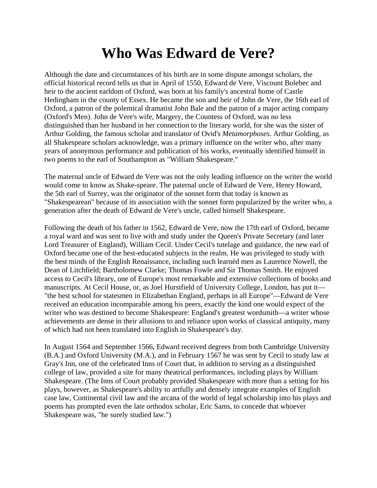## **Who Was Edward de Vere?**

Although the date and circumstances of his birth are in some dispute amongst scholars, the official historical record tells us that in April of 1550, Edward de Vere, Viscount Bolebec and heir to the ancient earldom of Oxford, was born at his family's ancestral home of Castle Hedingham in the county of Essex. He became the son and heir of John de Vere, the 16th earl of Oxford, a patron of the polemical dramatist John Bale and the patron of a major acting company (Oxford's Men). John de Vere's wife, Margery, the Countess of Oxford, was no less distinguished than her husband in her connection to the literary world, for she was the sister of Arthur Golding, the famous scholar and translator of Ovid's *Metamorphoses*. Arthur Golding, as all Shakespeare scholars acknowledge, was a primary influence on the writer who, after many years of anonymous performance and publication of his works, eventually identified himself in two poems to the earl of Southampton as "William Shakespeare."

The maternal uncle of Edward de Vere was not the only leading influence on the writer the world would come to know as Shake-speare. The paternal uncle of Edward de Vere, Henry Howard, the 5th earl of Surrey, was the originator of the sonnet form that today is known as "Shakespearean" because of its association with the sonnet form popularized by the writer who, a generation after the death of Edward de Vere's uncle, called himself Shakespeare.

Following the death of his father in 1562, Edward de Vere, now the 17th earl of Oxford, became a royal ward and was sent to live with and study under the Queen's Private Secretary (and later Lord Treasurer of England), William Cecil. Under Cecil's tutelage and guidance, the new earl of Oxford became one of the best-educated subjects in the realm. He was privileged to study with the best minds of the English Renaissance, including such learnéd men as Laurence Nowell, the Dean of Litchfield; Bartholomew Clarke; Thomas Fowle and Sir Thomas Smith. He enjoyed access to Cecil's library, one of Europe's most remarkable and extensive collections of books and manuscripts. At Cecil House, or, as Joel Hurstfield of University College, London, has put it— "the best school for statesmen in Elizabethan England, perhaps in all Europe"—Edward de Vere received an education incomparable among his peers, exactly the kind one would expect of the writer who was destined to become Shakespeare: England's greatest wordsmith—a writer whose achievements are dense in their allusions to and reliance upon works of classical antiquity, many of which had not been translated into English in Shakespeare's day.

In August 1564 and September 1566, Edward received degrees from both Cambridge University (B.A.) and Oxford University (M.A.), and in February 1567 he was sent by Cecil to study law at Gray's Inn, one of the celebrated Inns of Court that, in addition to serving as a distinguished college of law, provided a site for many theatrical performances, including plays by William Shakespeare. (The Inns of Court probably provided Shakespeare with more than a setting for his plays, however, as Shakespeare's ability to artfully and densely integrate examples of English case law, Continental civil law and the arcana of the world of legal scholarship into his plays and poems has prompted even the late orthodox scholar, Eric Sams, to concede that whoever Shakespeare was, "he surely studied law.")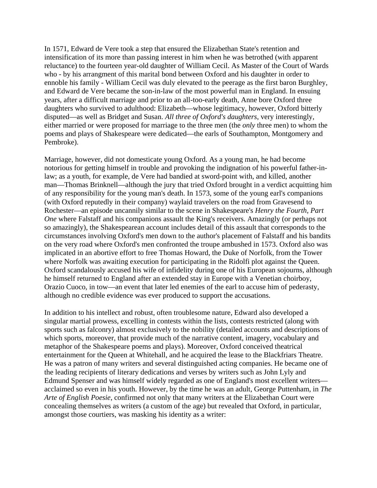In 1571, Edward de Vere took a step that ensured the Elizabethan State's retention and intensification of its more than passing interest in him when he was betrothed (with apparent reluctance) to the fourteen year-old daughter of William Cecil. As Master of the Court of Wards who - by his arrangment of this marital bond between Oxford and his daughter in order to ennoble his family - William Cecil was duly elevated to the peerage as the first baron Burghley, and Edward de Vere became the son-in-law of the most powerful man in England. In ensuing years, after a difficult marriage and prior to an all-too-early death, Anne bore Oxford three daughters who survived to adulthood: Elizabeth—whose legitimacy, however, Oxford bitterly disputed—as well as Bridget and Susan. *All three of Oxford's daughters*, very interestingly, either married or were proposed for marriage to the three men (the *only* three men) to whom the poems and plays of Shakespeare were dedicated—the earls of Southampton, Montgomery and Pembroke).

Marriage, however, did not domesticate young Oxford. As a young man, he had become notorious for getting himself in trouble and provoking the indignation of his powerful father-inlaw; as a youth, for example, de Vere had bandied at sword-point with, and killed, another man—Thomas Brinknell—although the jury that tried Oxford brought in a verdict acquitting him of any responsibility for the young man's death. In 1573, some of the young earl's companions (with Oxford reputedly in their company) waylaid travelers on the road from Gravesend to Rochester—an episode uncannily similar to the scene in Shakespeare's *Henry the Fourth, Part One* where Falstaff and his companions assault the King's receivers. Amazingly (or perhaps not so amazingly), the Shakespearean account includes detail of this assault that corresponds to the circumstances involving Oxford's men down to the author's placement of Falstaff and his bandits on the very road where Oxford's men confronted the troupe ambushed in 1573. Oxford also was implicated in an abortive effort to free Thomas Howard, the Duke of Norfolk, from the Tower where Norfolk was awaiting execution for participating in the Ridolfi plot against the Queen. Oxford scandalously accused his wife of infidelity during one of his European sojourns, although he himself returned to England after an extended stay in Europe with a Venetian choirboy, Orazio Cuoco, in tow—an event that later led enemies of the earl to accuse him of pederasty, although no credible evidence was ever produced to support the accusations.

In addition to his intellect and robust, often troublesome nature, Edward also developed a singular martial prowess, excelling in contests within the lists, contests restricted (along with sports such as falconry) almost exclusively to the nobility (detailed accounts and descriptions of which sports, moreover, that provide much of the narrative content, imagery, vocabulary and metaphor of the Shakespeare poems and plays). Moreover, Oxford conceived theatrical entertainment for the Queen at Whitehall, and he acquired the lease to the Blackfriars Theatre. He was a patron of many writers and several distinguished acting companies. He became one of the leading recipients of literary dedications and verses by writers such as John Lyly and Edmund Spenser and was himself widely regarded as one of England's most excellent writers acclaimed so even in his youth. However, by the time he was an adult, George Puttenham, in *The Arte of English Poesie*, confirmed not only that many writers at the Elizabethan Court were concealing themselves as writers (a custom of the age) but revealed that Oxford, in particular, amongst those courtiers, was masking his identity as a writer: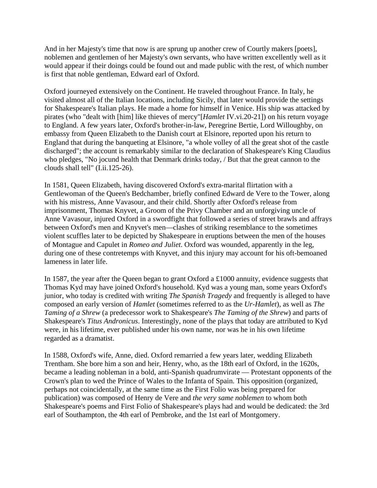And in her Majesty's time that now is are sprung up another crew of Courtly makers [poets], noblemen and gentlemen of her Majesty's own servants, who have written excellently well as it would appear if their doings could be found out and made public with the rest, of which number is first that noble gentleman, Edward earl of Oxford.

Oxford journeyed extensively on the Continent. He traveled throughout France. In Italy, he visited almost all of the Italian locations, including Sicily, that later would provide the settings for Shakespeare's Italian plays. He made a home for himself in Venice. His ship was attacked by pirates (who "dealt with [him] like thieves of mercy"[*Hamlet* IV.vi.20-21]) on his return voyage to England. A few years later, Oxford's brother-in-law, Peregrine Bertie, Lord Willoughby, on embassy from Queen Elizabeth to the Danish court at Elsinore, reported upon his return to England that during the banqueting at Elsinore, "a whole volley of all the great shot of the castle discharged"; the account is remarkably similar to the declaration of Shakespeare's King Claudius who pledges, "No jocund health that Denmark drinks today, */* But that the great cannon to the clouds shall tell" (I.ii.125-26).

In 1581, Queen Elizabeth, having discovered Oxford's extra-marital flirtation with a Gentlewoman of the Queen's Bedchamber, briefly confined Edward de Vere to the Tower, along with his mistress, Anne Vavasour, and their child. Shortly after Oxford's release from imprisonment, Thomas Knyvet, a Groom of the Privy Chamber and an unforgiving uncle of Anne Vavasour, injured Oxford in a swordfight that followed a series of street brawls and affrays between Oxford's men and Knyvet's men—clashes of striking resemblance to the sometimes violent scuffles later to be depicted by Shakespeare in eruptions between the men of the houses of Montague and Capulet in *Romeo and Juliet*. Oxford was wounded, apparently in the leg, during one of these contretemps with Knyvet, and this injury may account for his oft-bemoaned lameness in later life.

In 1587, the year after the Queen began to grant Oxford a £1000 annuity, evidence suggests that Thomas Kyd may have joined Oxford's household. Kyd was a young man, some years Oxford's junior, who today is credited with writing *The Spanish Tragedy* and frequently is alleged to have composed an early version of *Hamlet* (sometimes referred to as the *Ur-Hamlet*), as well as *The Taming of a Shrew* (a predecessor work to Shakespeare's *The Taming of the Shrew*) and parts of Shakespeare's *Titus Andronicus*. Interestingly, none of the plays that today are attributed to Kyd were, in his lifetime, ever published under his own name, nor was he in his own lifetime regarded as a dramatist.

In 1588, Oxford's wife, Anne, died. Oxford remarried a few years later, wedding Elizabeth Trentham. She bore him a son and heir, Henry, who, as the 18th earl of Oxford, in the 1620s, became a leading nobleman in a bold, anti-Spanish quadrumvirate — Protestant opponents of the Crown's plan to wed the Prince of Wales to the Infanta of Spain. This opposition (organized, perhaps not coincidentally, at the same time as the First Folio was being prepared for publication) was composed of Henry de Vere and *the very same noblemen* to whom both Shakespeare's poems and First Folio of Shakespeare's plays had and would be dedicated: the 3rd earl of Southampton, the 4th earl of Pembroke, and the 1st earl of Montgomery.